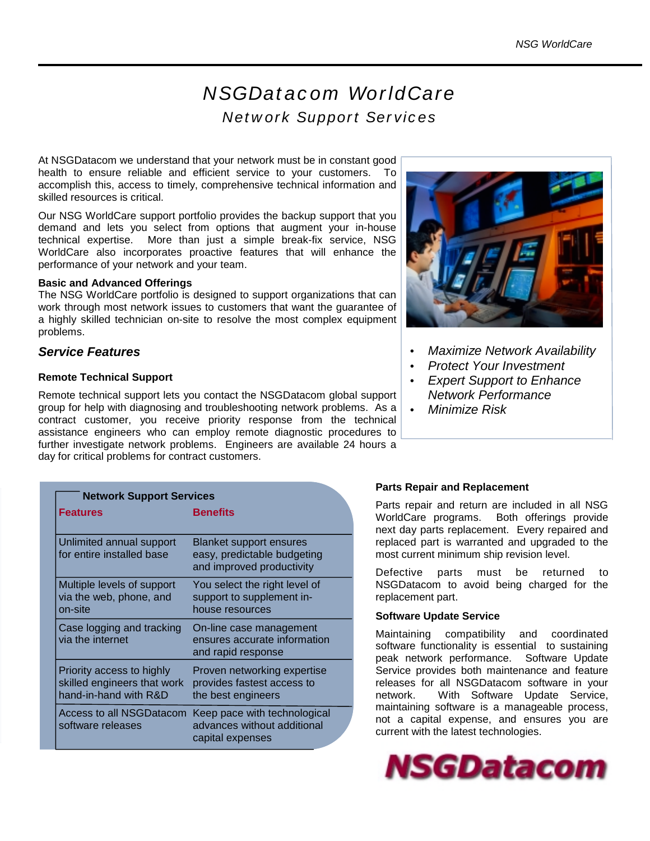# *NSGDatacom WorldCare Network Support Services*

At NSGDatacom we understand that your network must be in constant good health to ensure reliable and efficient service to your customers. To accomplish this, access to timely, comprehensive technical information and skilled resources is critical.

Our NSG WorldCare support portfolio provides the backup support that you demand and lets you select from options that augment your in-house technical expertise. More than just a simple break-fix service, NSG WorldCare also incorporates proactive features that will enhance the performance of your network and your team.

#### **Basic and Advanced Offerings**

The NSG WorldCare portfolio is designed to support organizations that can work through most network issues to customers that want the guarantee of a highly skilled technician on-site to resolve the most complex equipment problems.

# *Service Features*

# **Remote Technical Support**

Remote technical support lets you contact the NSGDatacom global support group for help with diagnosing and troubleshooting network problems. As a contract customer, you receive priority response from the technical assistance engineers who can employ remote diagnostic procedures to further investigate network problems. Engineers are available 24 hours a day for critical problems for contract customers.

| <b>Network Support Services</b>                                                   |                                                                                            |  |
|-----------------------------------------------------------------------------------|--------------------------------------------------------------------------------------------|--|
| <b>Features</b>                                                                   | <b>Benefits</b>                                                                            |  |
| Unlimited annual support<br>for entire installed base                             | <b>Blanket support ensures</b><br>easy, predictable budgeting<br>and improved productivity |  |
| Multiple levels of support<br>via the web, phone, and<br>on-site                  | You select the right level of<br>support to supplement in-<br>house resources              |  |
| Case logging and tracking<br>via the internet                                     | On-line case management<br>ensures accurate information<br>and rapid response              |  |
| Priority access to highly<br>skilled engineers that work<br>hand-in-hand with R&D | Proven networking expertise<br>provides fastest access to<br>the best engineers            |  |
| Access to all NSGDatacom<br>software releases                                     | Keep pace with technological<br>advances without additional<br>capital expenses            |  |



- *Maximize Network Availability*
- *Protect Your Investment*
- *Expert Support to Enhance Network Performance*
- *Minimize Risk*

# **Parts Repair and Replacement**

Parts repair and return are included in all NSG WorldCare programs. Both offerings provide next day parts replacement. Every repaired and replaced part is warranted and upgraded to the most current minimum ship revision level.

Defective parts must be returned to NSGDatacom to avoid being charged for the replacement part.

# **Software Update Service**

Maintaining compatibility and coordinated software functionality is essential to sustaining peak network performance. Software Update Service provides both maintenance and feature releases for all NSGDatacom software in your network. With Software Update Service, maintaining software is a manageable process, not a capital expense, and ensures you are current with the latest technologies.